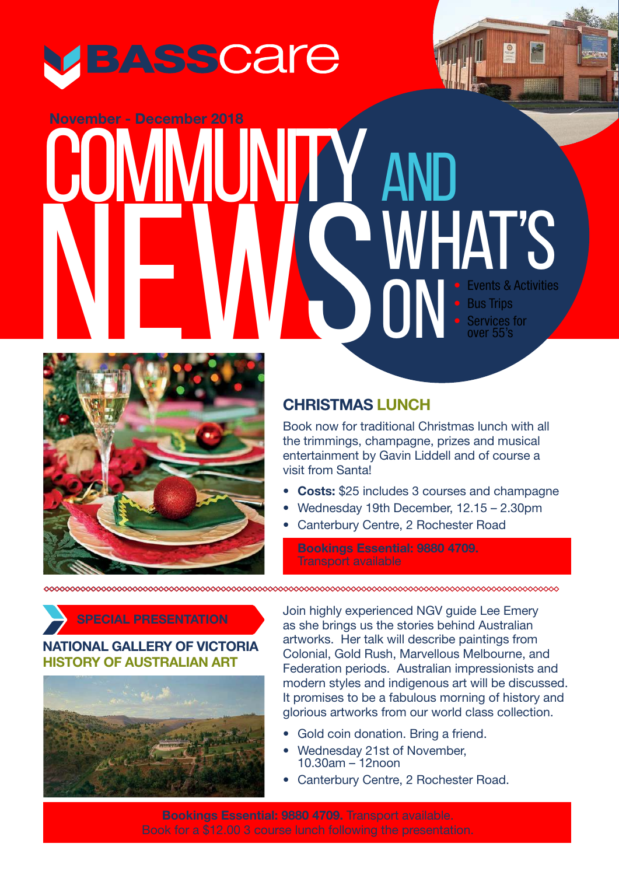

## • Events & Activities **Bus Trips** Services for over 55's **November - December 2018** AND WHAT's ON<sup>1</sup> November - December 2018<br>
COMMUNITY **NEWS**



## **CHRISTMAS LUNCH**

Book now for traditional Christmas lunch with all the trimmings, champagne, prizes and musical entertainment by Gavin Liddell and of course a visit from Santa!

- **Costs:** \$25 includes 3 courses and champagne
- Wednesday 19th December, 12.15 2.30pm
- Canterbury Centre, 2 Rochester Road

**Bookings Essential: 9880 4709.** Transport available

<u>www.community.com/www.com/www.com/www.com/www.com/www.com/www.com/www.com/www.com/www.com/www.com/www.com/www</u> **∞∞∞∞∞∞∞∞∞∞∞∞∞∞∞∞∞∞∞∞∞∞∞∞∞∞∞∞∞∞∞∞∞**∞∞

**SPECIAL PRESENTATION**

### **NATIONAL GALLERY OF VICTORIA HISTORY OF AUSTRALIAN ART**



Join highly experienced NGV guide Lee Emery as she brings us the stories behind Australian artworks. Her talk will describe paintings from Colonial, Gold Rush, Marvellous Melbourne, and Federation periods. Australian impressionists and modern styles and indigenous art will be discussed. It promises to be a fabulous morning of history and glorious artworks from our world class collection.

- Gold coin donation. Bring a friend.
- Wednesday 21st of November, 10.30am – 12noon
- Canterbury Centre, 2 Rochester Road.

**Bookings Essential: 9880 4709.** Transport available. Book for a \$12.00 3 course lunch following the presentation.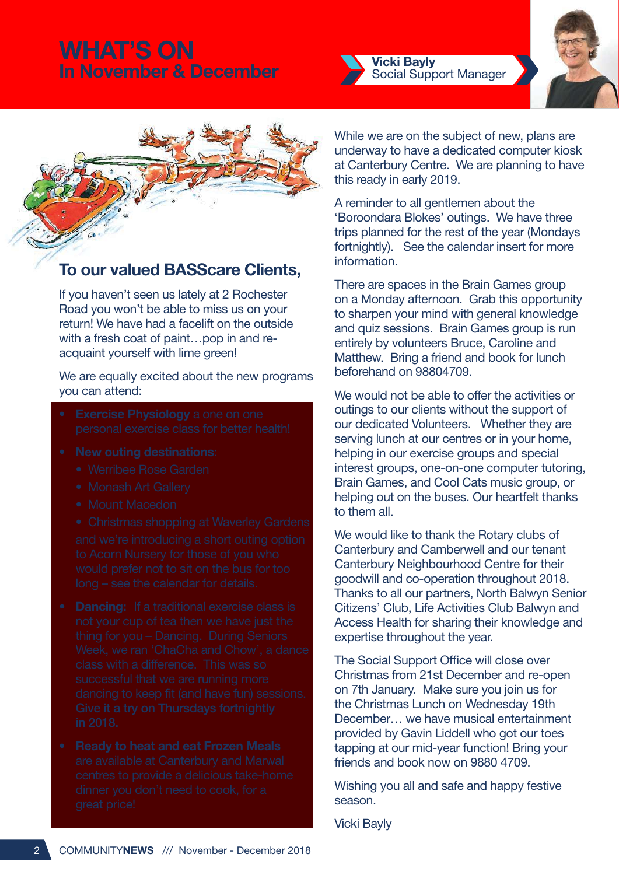## **WHAT'S ON In November & December <b>Company** Vicki Bayly







## **To our valued BASScare Clients,**

If you haven't seen us lately at 2 Rochester Road you won't be able to miss us on your return! We have had a facelift on the outside with a fresh coat of paint…pop in and reacquaint yourself with lime green!

### We are equally excited about the new programs you can attend:

- 
- -
	-
	-
	-
- 
- 

While we are on the subject of new, plans are underway to have a dedicated computer kiosk at Canterbury Centre. We are planning to have this ready in early 2019.

A reminder to all gentlemen about the 'Boroondara Blokes' outings. We have three trips planned for the rest of the year (Mondays fortnightly). See the calendar insert for more information.

There are spaces in the Brain Games group on a Monday afternoon. Grab this opportunity to sharpen your mind with general knowledge and quiz sessions. Brain Games group is run entirely by volunteers Bruce, Caroline and Matthew. Bring a friend and book for lunch beforehand on 98804709.

We would not be able to offer the activities or outings to our clients without the support of our dedicated Volunteers. Whether they are serving lunch at our centres or in your home, helping in our exercise groups and special interest groups, one-on-one computer tutoring, Brain Games, and Cool Cats music group, or helping out on the buses. Our heartfelt thanks to them all.

We would like to thank the Rotary clubs of Canterbury and Camberwell and our tenant Canterbury Neighbourhood Centre for their goodwill and co-operation throughout 2018. Thanks to all our partners, North Balwyn Senior Citizens' Club, Life Activities Club Balwyn and Access Health for sharing their knowledge and expertise throughout the year.

The Social Support Office will close over Christmas from 21st December and re-open on 7th January. Make sure you join us for the Christmas Lunch on Wednesday 19th December… we have musical entertainment provided by Gavin Liddell who got our toes tapping at our mid-year function! Bring your friends and book now on 9880 4709.

Wishing you all and safe and happy festive season.

Vicki Bayly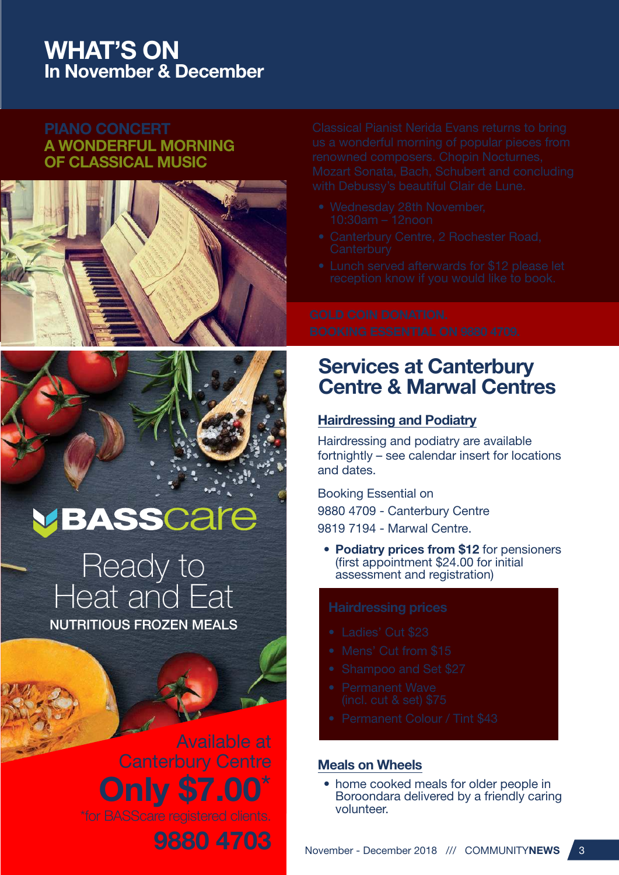## **WHAT'S ON In November & December**

### **PIANO CONCERT A WONDERFUL MORNING OF CLASSICAL MUSIC**





# VBASSCare

Ready to Heat and Eat NUTRITIOUS FROZEN MEALS

> Available at Canterbury Centre **Only \$7.00**\* **9880 4703**

- 
- 
- 

## **Services at Canterbury Centre & Marwal Centres**

### **Hairdressing and Podiatry**

Hairdressing and podiatry are available fortnightly – see calendar insert for locations and dates.

Booking Essential on 9880 4709 - Canterbury Centre 9819 7194 - Marwal Centre.

**• Podiatry prices from \$12** for pensioners (first appointment \$24.00 for initial assessment and registration)

- 
- 
- 
- 
- 

### **Meals on Wheels**

• home cooked meals for older people in Boroondara delivered by a friendly caring volunteer.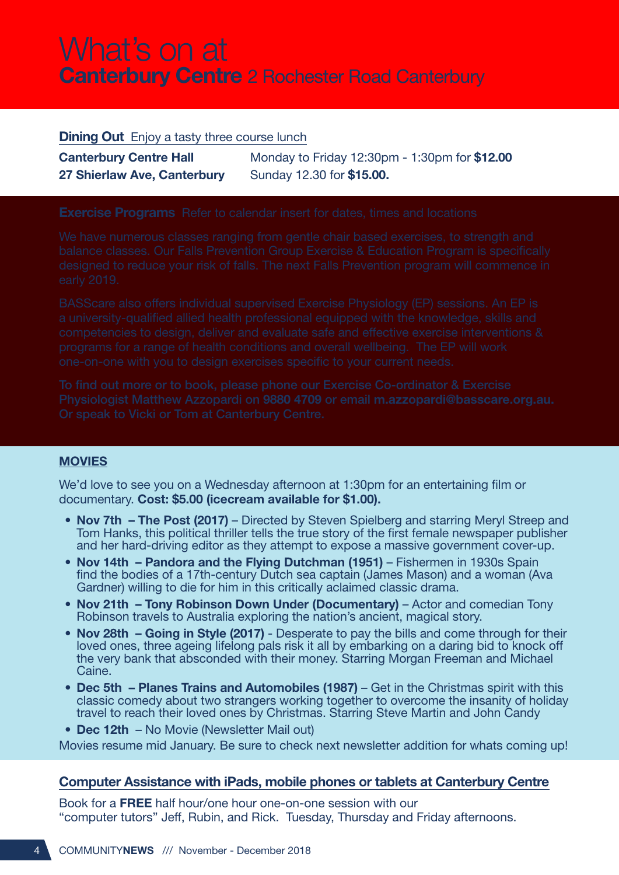# What's on at **Canterbury Centre** 2 Rochester Road Canterbury

### **Dining Out** Enjoy a tasty three course lunch

| <b>Canterbury Centre Hall</b> | Monday to Friday 12:30pm - 1:30pm for \$12.00 |
|-------------------------------|-----------------------------------------------|
| 27 Shierlaw Ave, Canterbury   | Sunday 12.30 for \$15.00.                     |

### **MOVIES**

We'd love to see you on a Wednesday afternoon at 1:30pm for an entertaining film or documentary. **Cost: \$5.00 (icecream available for \$1.00).**

- **Nov 7th The Post (2017)** Directed by Steven Spielberg and starring Meryl Streep and Tom Hanks, this political thriller tells the true story of the first female newspaper publisher and her hard-driving editor as they attempt to expose a massive government cover-up.
- Nov 14th Pandora and the Flying Dutchman (1951) Fishermen in 1930s Spain find the bodies of a 17th-century Dutch sea captain (James Mason) and a woman (Ava Gardner) willing to die for him in this critically aclaimed classic drama.
- **Nov 21th Tony Robinson Down Under (Documentary)** Actor and comedian Tony Robinson travels to Australia exploring the nation's ancient, magical story.
- **Nov 28th Going in Style (2017)**  Desperate to pay the bills and come through for their loved ones, three ageing lifelong pals risk it all by embarking on a daring bid to knock off the very bank that absconded with their money. Starring Morgan Freeman and Michael Caine.
- **Dec 5th Planes Trains and Automobiles (1987)** Get in the Christmas spirit with this classic comedy about two strangers working together to overcome the insanity of holiday travel to reach their loved ones by Christmas. Starring Steve Martin and John Candy
- **Dec 12th**  No Movie (Newsletter Mail out)

Movies resume mid January. Be sure to check next newsletter addition for whats coming up!

### **Computer Assistance with iPads, mobile phones or tablets at Canterbury Centre**

Book for a **FREE** half hour/one hour one-on-one session with our "computer tutors" Jeff, Rubin, and Rick. Tuesday, Thursday and Friday afternoons.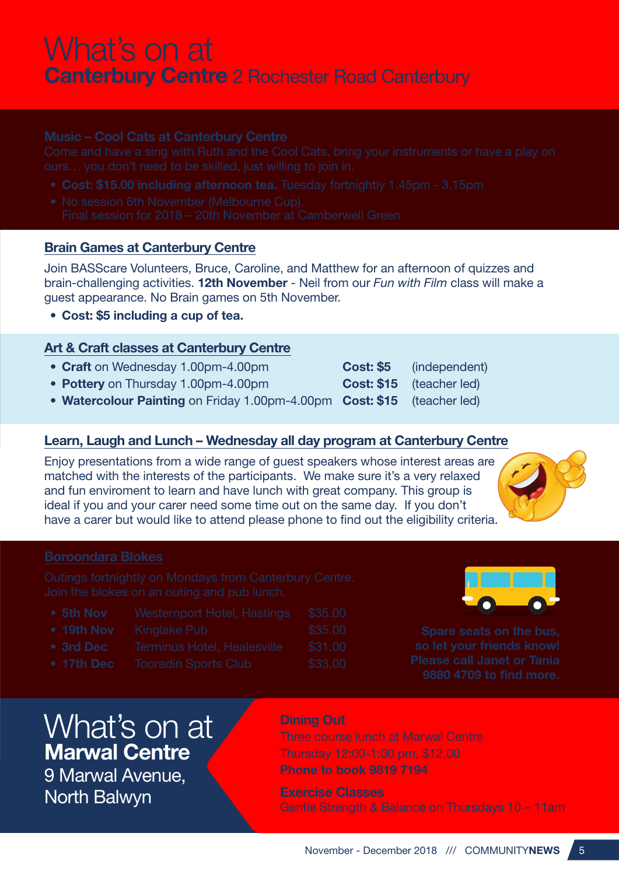# What's on at **Canterbury Centre** 2 Rochester Road Canterbury

- 
- 

### **Brain Games at Canterbury Centre**

Join BASScare Volunteers, Bruce, Caroline, and Matthew for an afternoon of quizzes and brain-challenging activities. **12th November** - Neil from our *Fun with Film* class will make a guest appearance. No Brain games on 5th November.

**• Cost: \$5 including a cup of tea.**

### **Art & Craft classes at Canterbury Centre**

- Craft on Wednesday 1.00pm-4.00pm **Cost: \$5** (independent)
- Pottery on Thursday 1.00pm-4.00pm **Cost: \$15** (teacher led)
- **Watercolour Painting** on Friday 1.00pm-4.00pm **Cost: \$15** (teacher led)

### **Learn, Laugh and Lunch – Wednesday all day program at Canterbury Centre**

Enjoy presentations from a wide range of guest speakers whose interest areas are matched with the interests of the participants. We make sure it's a very relaxed and fun enviroment to learn and have lunch with great company. This group is ideal if you and your carer need some time out on the same day. If you don't have a carer but would like to attend please phone to find out the eligibility criteria.



| • 5th Nov          | Westernport Hotel, Hastings | \$35.00 |
|--------------------|-----------------------------|---------|
| • 19th Nov         | <b>Kinglake Pub</b>         | \$35.00 |
| • 3rd Dec          | Terminus Hotel, Healesville | \$31.00 |
| $\bullet$ 17th Dec | <b>Tooradin Sports Club</b> | \$33.00 |



# What's on at **Marwal Centre**

9 Marwal Avenue, North Balwyn

### **Dining Out**

Three course lunch at Marwal Centre Thursday 12:00-1:00 pm, \$12.00 **Phone to book 9819 7194**

**Exercise Classes** Gentle Strength & Balance on Thursdays 10 – 11am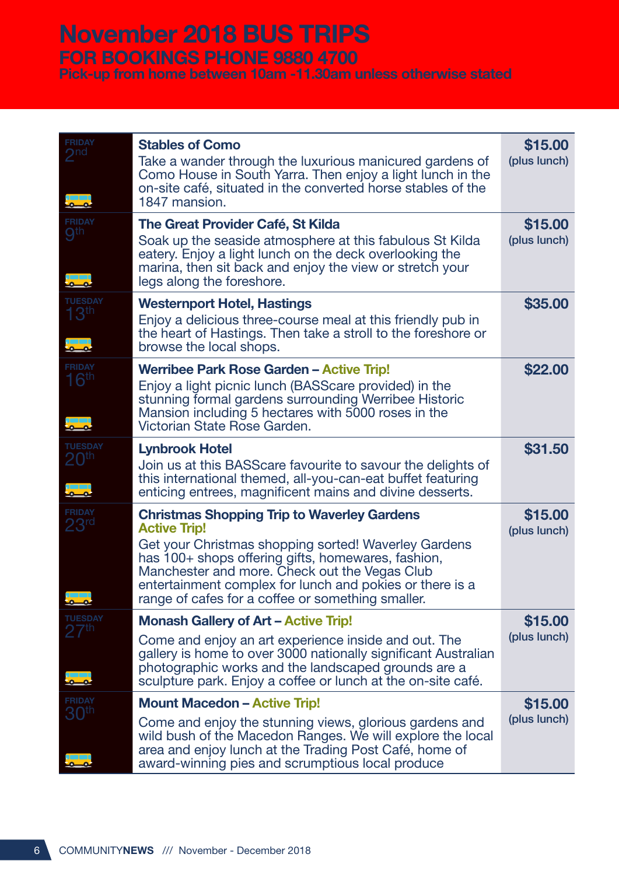# **November 2018 BUS TRIPS**

# **FOR BOOKINGS PHONE 9880 4700**

**Pick-up from home between 10am -11.30am unless otherwise stated**

| <b>FRIDAY</b><br>$\boldsymbol{\mathcal{P}}$ nd | <b>Stables of Como</b><br>Take a wander through the luxurious manicured gardens of<br>Como House in South Yarra. Then enjoy a light lunch in the<br>on-site café, situated in the converted horse stables of the<br>1847 mansion.                                                                                                                         | \$15.00<br>(plus lunch) |
|------------------------------------------------|-----------------------------------------------------------------------------------------------------------------------------------------------------------------------------------------------------------------------------------------------------------------------------------------------------------------------------------------------------------|-------------------------|
| <b>FRIDAY</b><br><b>gth</b>                    | The Great Provider Café, St Kilda<br>Soak up the seaside atmosphere at this fabulous St Kilda<br>eatery. Enjoy a light lunch on the deck overlooking the<br>marina, then sit back and enjoy the view or stretch your<br>legs along the foreshore.                                                                                                         | \$15.00<br>(plus lunch) |
| <b>TUESDAY</b><br>13 <sup>th</sup>             | <b>Westernport Hotel, Hastings</b><br>Enjoy a delicious three-course meal at this friendly pub in<br>the heart of Hastings. Then take a stroll to the foreshore or<br>browse the local shops.                                                                                                                                                             | \$35.00                 |
| <b>FRIDAY</b><br>16th                          | <b>Werribee Park Rose Garden - Active Trip!</b><br>Enjoy a light picnic lunch (BASScare provided) in the<br>stunning formal gardens surrounding Werribee Historic<br>Mansion including 5 hectares with 5000 roses in the<br>Victorian State Rose Garden.                                                                                                  | \$22.00                 |
| <b>TUESDAY</b><br>20 <sup>th</sup>             | <b>Lynbrook Hotel</b><br>Join us at this BASScare favourite to savour the delights of<br>this international themed, all-you-can-eat buffet featuring<br>enticing entrees, magnificent mains and divine desserts.                                                                                                                                          | \$31.50                 |
| <b>FRIDAY</b><br>23 <sup>rd</sup><br>نە        | <b>Christmas Shopping Trip to Waverley Gardens</b><br><b>Active Trip!</b><br>Get your Christmas shopping sorted! Waverley Gardens<br>has 100+ shops offering gifts, homewares, fashion,<br>Manchester and more. Check out the Vegas Club<br>entertainment complex for lunch and pokies or there is a<br>range of cafes for a coffee or something smaller. | \$15.00<br>(plus lunch) |
| <b>TUESDAY</b><br>27th                         | <b>Monash Gallery of Art - Active Trip!</b>                                                                                                                                                                                                                                                                                                               | \$15.00                 |
|                                                | Come and enjoy an art experience inside and out. The<br>gallery is home to over 3000 nationally significant Australian<br>photographic works and the landscaped grounds are a<br>sculpture park. Enjoy a coffee or lunch at the on-site café.                                                                                                             | (plus lunch)            |
| <b>FRIDAY</b><br>$30^{\sf th}$                 | <b>Mount Macedon - Active Trip!</b>                                                                                                                                                                                                                                                                                                                       | \$15.00                 |
|                                                | Come and enjoy the stunning views, glorious gardens and<br>wild bush of the Macedon Ranges. We will explore the local<br>area and enjoy lunch at the Trading Post Café, home of<br>award-winning pies and scrumptious local produce                                                                                                                       | (plus lunch)            |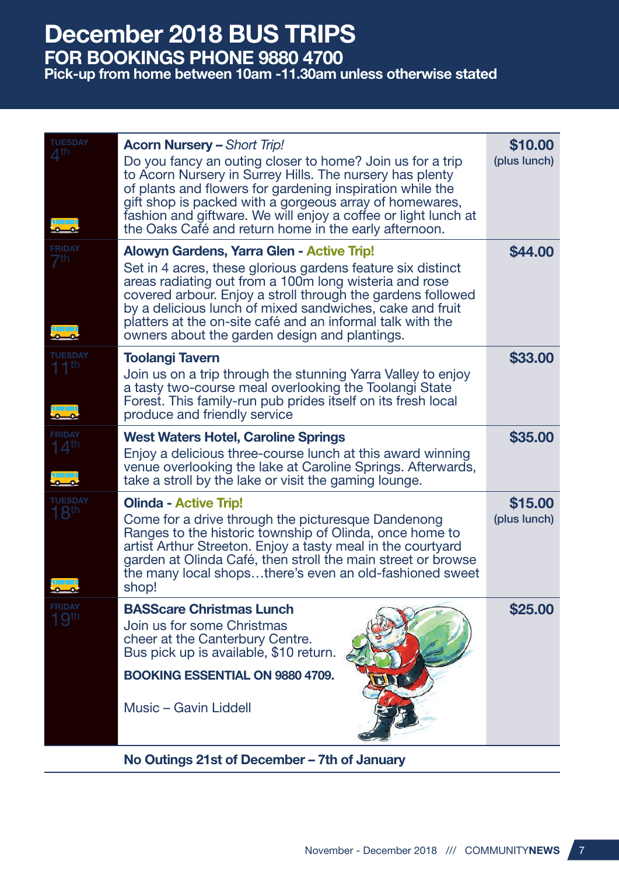## **December 2018 BUS TRIPS FOR BOOKINGS PHONE 9880 4700**

### **Pick-up from home between 10am -11.30am unless otherwise stated**

| TUESDAY                           | <b>Acorn Nursery - Short Trip!</b><br>Do you fancy an outing closer to home? Join us for a trip<br>to Acorn Nursery in Surrey Hills. The nursery has plenty<br>of plants and flowers for gardening inspiration while the<br>gift shop is packed with a gorgeous array of homewares,<br>fashion and giftware. We will enjoy a coffee or light lunch at<br>the Oaks Café and return home in the early afternoon.      | \$10.00<br>(plus lunch) |
|-----------------------------------|---------------------------------------------------------------------------------------------------------------------------------------------------------------------------------------------------------------------------------------------------------------------------------------------------------------------------------------------------------------------------------------------------------------------|-------------------------|
| <b>FRIDAY</b>                     | <b>Alowyn Gardens, Yarra Glen - Active Trip!</b><br>Set in 4 acres, these glorious gardens feature six distinct<br>areas radiating out from a 100m long wisteria and rose<br>covered arbour. Enjoy a stroll through the gardens followed<br>by a delicious lunch of mixed sandwiches, cake and fruit<br>platters at the on-site café and an informal talk with the<br>owners about the garden design and plantings. | \$44.00                 |
| UESDAY                            | <b>Toolangi Tavern</b><br>Join us on a trip through the stunning Yarra Valley to enjoy<br>a tasty two-course meal overlooking the Toolangi State<br>Forest. This family-run pub prides itself on its fresh local<br>produce and friendly service                                                                                                                                                                    | \$33.00                 |
| <b>FRIDAY</b><br>$14^{\text{th}}$ | <b>West Waters Hotel, Caroline Springs</b><br>Enjoy a delicious three-course lunch at this award winning<br>venue overlooking the lake at Caroline Springs. Afterwards,<br>take a stroll by the lake or visit the gaming lounge.                                                                                                                                                                                    | \$35.00                 |
| <b>UESDAY</b><br>$18^{\text{th}}$ | <b>Olinda - Active Trip!</b><br>Come for a drive through the picturesque Dandenong<br>Ranges to the historic township of Olinda, once home to<br>artist Arthur Streeton. Enjoy a tasty meal in the courtyard<br>garden at Olinda Café, then stroll the main street or browse<br>the many local shopsthere's even an old-fashioned sweet<br>shop!                                                                    | \$15.00<br>(plus lunch) |
| FRIDAY                            | <b>BASScare Christmas Lunch</b><br>Join us for some Christmas<br>cheer at the Canterbury Centre.<br>Bus pick up is available, \$10 return.<br><b>BOOKING ESSENTIAL ON 9880 4709.</b><br>Music - Gavin Liddell                                                                                                                                                                                                       | \$25.00                 |

**No Outings 21st of December – 7th of January**